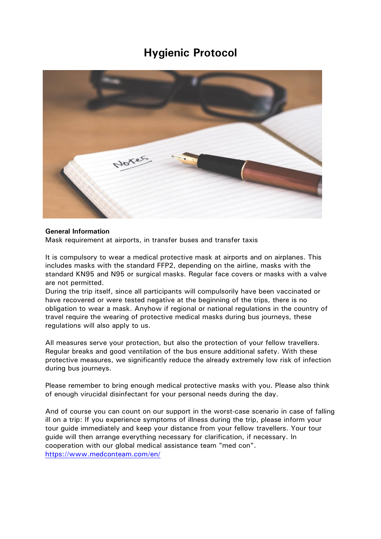# **Hygienic Protocol**



### **General Information**

Mask requirement at airports, in transfer buses and transfer taxis

It is compulsory to wear a medical protective mask at airports and on airplanes. This includes masks with the standard FFP2, depending on the airline, masks with the standard KN95 and N95 or surgical masks. Regular face covers or masks with a valve are not permitted.

During the trip itself, since all participants will compulsorily have been vaccinated or have recovered or were tested negative at the beginning of the trips, there is no obligation to wear a mask. Anyhow if regional or national regulations in the country of travel require the wearing of protective medical masks during bus journeys, these regulations will also apply to us.

All measures serve your protection, but also the protection of your fellow travellers. Regular breaks and good ventilation of the bus ensure additional safety. With these protective measures, we significantly reduce the already extremely low risk of infection during bus journeys.

Please remember to bring enough medical protective masks with you. Please also think of enough virucidal disinfectant for your personal needs during the day.

And of course you can count on our support in the worst-case scenario in case of falling ill on a trip: If you experience symptoms of illness during the trip, please inform your tour guide immediately and keep your distance from your fellow travellers. Your tour guide will then arrange everything necessary for clarification, if necessary. In cooperation with our global medical assistance team "med con". <https://www.medconteam.com/en/>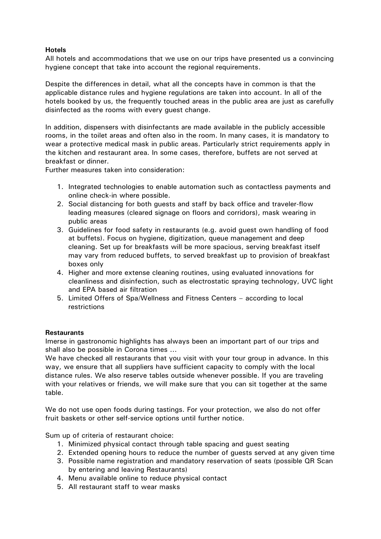## **Hotels**

All hotels and accommodations that we use on our trips have presented us a convincing hygiene concept that take into account the regional requirements.

Despite the differences in detail, what all the concepts have in common is that the applicable distance rules and hygiene regulations are taken into account. In all of the hotels booked by us, the frequently touched areas in the public area are just as carefully disinfected as the rooms with every guest change.

In addition, dispensers with disinfectants are made available in the publicly accessible rooms, in the toilet areas and often also in the room. In many cases, it is mandatory to wear a protective medical mask in public areas. Particularly strict requirements apply in the kitchen and restaurant area. In some cases, therefore, buffets are not served at breakfast or dinner.

Further measures taken into consideration:

- 1. Integrated technologies to enable automation such as contactless payments and online check-in where possible.
- 2. Social distancing for both guests and staff by back office and traveler-flow leading measures (cleared signage on floors and corridors), mask wearing in public areas
- 3. Guidelines for food safety in restaurants (e.g. avoid guest own handling of food at buffets). Focus on hygiene, digitization, queue management and deep cleaning. Set up for breakfasts will be more spacious, serving breakfast itself may vary from reduced buffets, to served breakfast up to provision of breakfast boxes only
- 4. Higher and more extense cleaning routines, using evaluated innovations for cleanliness and disinfection, such as electrostatic spraying technology, UVC light and EPA based air filtration
- 5. Limited Offers of Spa/Wellness and Fitness Centers according to local restrictions

### **Restaurants**

Imerse in gastronomic highlights has always been an important part of our trips and shall also be possible in Corona times ...

We have checked all restaurants that you visit with your tour group in advance. In this way, we ensure that all suppliers have sufficient capacity to comply with the local distance rules. We also reserve tables outside whenever possible. If you are traveling with your relatives or friends, we will make sure that you can sit together at the same table.

We do not use open foods during tastings. For your protection, we also do not offer fruit baskets or other self-service options until further notice.

Sum up of criteria of restaurant choice:

- 1. Minimized physical contact through table spacing and guest seating
- 2. Extended opening hours to reduce the number of guests served at any given time
- 3. Possible name registration and mandatory reservation of seats (possible QR Scan by entering and leaving Restaurants)
- 4. Menu available online to reduce physical contact
- 5. All restaurant staff to wear masks